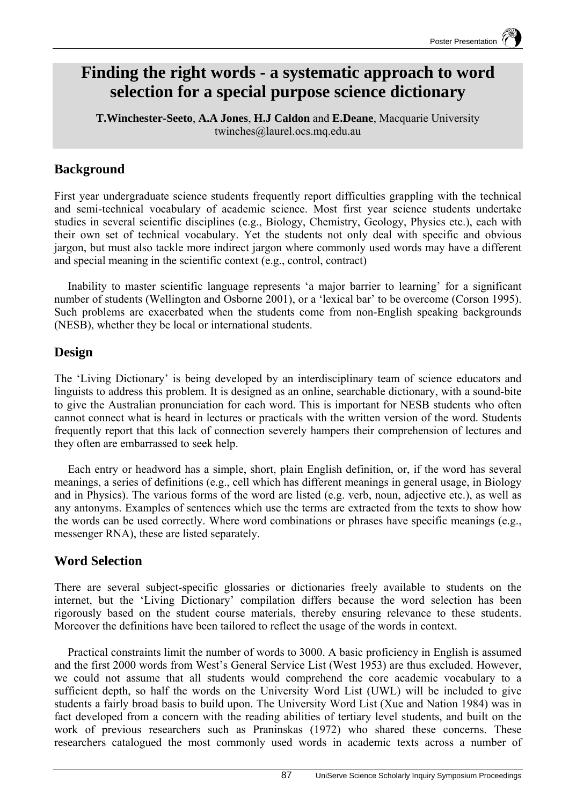# **Finding the right words - a systematic approach to word selection for a special purpose science dictionary**

**T.Winchester-Seeto**, **A.A Jones**, **H.J Caldon** and **E.Deane**, Macquarie University twinches@laurel.ocs.mq.edu.au

## **Background**

First year undergraduate science students frequently report difficulties grappling with the technical and semi-technical vocabulary of academic science. Most first year science students undertake studies in several scientific disciplines (e.g., Biology, Chemistry, Geology, Physics etc.), each with their own set of technical vocabulary. Yet the students not only deal with specific and obvious jargon, but must also tackle more indirect jargon where commonly used words may have a different and special meaning in the scientific context (e.g., control, contract)

Inability to master scientific language represents 'a major barrier to learning' for a significant number of students (Wellington and Osborne 2001), or a 'lexical bar' to be overcome (Corson 1995). Such problems are exacerbated when the students come from non-English speaking backgrounds (NESB), whether they be local or international students.

### **Design**

The 'Living Dictionary' is being developed by an interdisciplinary team of science educators and linguists to address this problem. It is designed as an online, searchable dictionary, with a sound-bite to give the Australian pronunciation for each word. This is important for NESB students who often cannot connect what is heard in lectures or practicals with the written version of the word. Students frequently report that this lack of connection severely hampers their comprehension of lectures and they often are embarrassed to seek help.

Each entry or headword has a simple, short, plain English definition, or, if the word has several meanings, a series of definitions (e.g., cell which has different meanings in general usage, in Biology and in Physics). The various forms of the word are listed (e.g. verb, noun, adjective etc.), as well as any antonyms. Examples of sentences which use the terms are extracted from the texts to show how the words can be used correctly. Where word combinations or phrases have specific meanings (e.g., messenger RNA), these are listed separately.

# **Word Selection**

There are several subject-specific glossaries or dictionaries freely available to students on the internet, but the 'Living Dictionary' compilation differs because the word selection has been rigorously based on the student course materials, thereby ensuring relevance to these students. Moreover the definitions have been tailored to reflect the usage of the words in context.

Practical constraints limit the number of words to 3000. A basic proficiency in English is assumed and the first 2000 words from West's General Service List (West 1953) are thus excluded. However, we could not assume that all students would comprehend the core academic vocabulary to a sufficient depth, so half the words on the University Word List (UWL) will be included to give students a fairly broad basis to build upon. The University Word List (Xue and Nation 1984) was in fact developed from a concern with the reading abilities of tertiary level students, and built on the work of previous researchers such as Praninskas (1972) who shared these concerns. These researchers catalogued the most commonly used words in academic texts across a number of